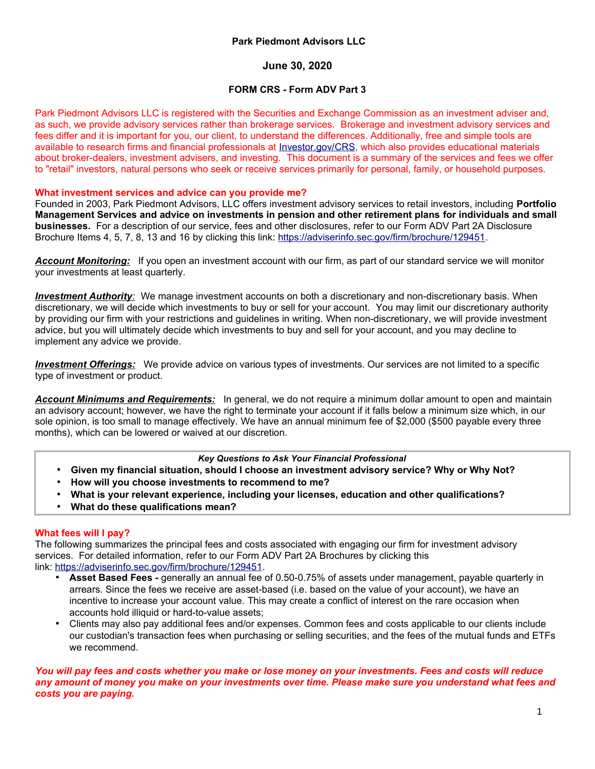# **Park Piedmont Advisors LLC**

# **June 30, 2020**

### **FORM CRS - Form ADV Part 3**

Park Piedmont Advisors LLC is registered with the Securities and Exchange Commission as an investment adviser and, as such, we provide advisory services rather than brokerage services. Brokerage and investment advisory services and fees differ and it is important for you, our client, to understand the differences. Additionally, free and simple tools are available to research firms and financial professionals at [Investor.gov/CRS,](http://www.Investor.gov/CRS) which also provides educational materials about broker-dealers, investment advisers, and investing. This document is a summary of the services and fees we offer to "retail" investors, natural persons who seek or receive services primarily for personal, family, or household purposes.

#### **What investment services and advice can you provide me?**

Founded in 2003, Park Piedmont Advisors, LLC offers investment advisory services to retail investors, including **Portfolio Management Services and advice on investments in pension and other retirement plans for individuals and small businesses.** For a description of our service, fees and other disclosures, refer to our Form ADV Part 2A Disclosure Brochure Items 4, 5, 7, 8, 13 and 16 by clicking this link: [https://adviserinfo.sec.gov/firm/brochure/129451.](https://adviserinfo.sec.gov/firm/brochure/129451)

*Account Monitoring:* If you open an investment account with our firm, as part of our standard service we will monitor your investments at least quarterly.

*Investment Authority*: We manage investment accounts on both a discretionary and non-discretionary basis. When discretionary, we will decide which investments to buy or sell for your account. You may limit our discretionary authority by providing our firm with your restrictions and guidelines in writing. When non-discretionary, we will provide investment advice, but you will ultimately decide which investments to buy and sell for your account, and you may decline to implement any advice we provide.

 *Investment Offerings:* We provide advice on various types of investments. Our services are not limited to a specific type of investment or product.

*Account Minimums and Requirements:* In general, we do not require a minimum dollar amount to open and maintain an advisory account; however, we have the right to terminate your account if it falls below a minimum size which, in our sole opinion, is too small to manage effectively. We have an annual minimum fee of \$2,000 (\$500 payable every three months), which can be lowered or waived at our discretion.

#### *Key Questions to Ask Your Financial Professional*

- **Given my financial situation, should I choose an investment advisory service? Why or Why Not?**
- **How will you choose investments to recommend to me?**
- **What is your relevant experience, including your licenses, education and other qualifications?**
- **What do these qualifications mean?**

#### **What fees will I pay?**

The following summarizes the principal fees and costs associated with engaging our firm for investment advisory services. For detailed information, refer to our Form ADV Part 2A Brochures by clicking this link: [https://adviserinfo.sec.gov/firm/brochure/129451.](https://adviserinfo.sec.gov/firm/brochure/129451)

- **Asset Based Fees** generally an annual fee of 0.50-0.75% of assets under management, payable quarterly in arrears. Since the fees we receive are asset-based (i.e. based on the value of your account), we have an incentive to increase your account value. This may create a conflict of interest on the rare occasion when accounts hold illiquid or hard-to-value assets;
- Clients may also pay additional fees and/or expenses. Common fees and costs applicable to our clients include our custodian's transaction fees when purchasing or selling securities, and the fees of the mutual funds and ETFs we recommend.

### *You will pay fees and costs whether you make or lose money on your investments. Fees and costs will reduce any amount of money you make on your investments over time. Please make sure you understand what fees and costs you are paying.*